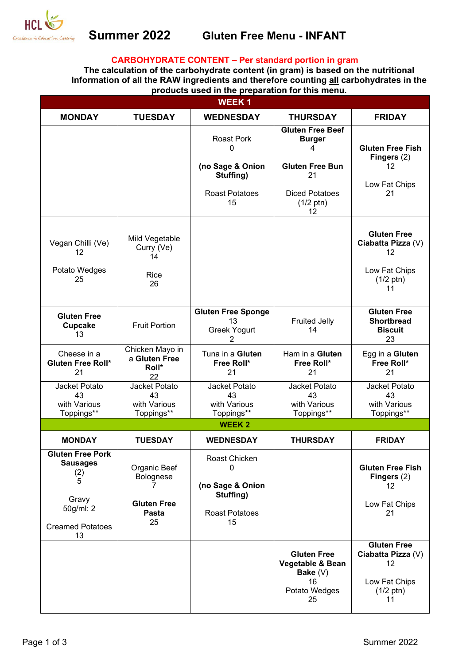

## **CARBOHYDRATE CONTENT – Per standard portion in gram**

**The calculation of the carbohydrate content (in gram) is based on the nutritional Information of all the RAW ingredients and therefore counting all carbohydrates in the products used in the preparation for this menu.** 

| <b>WEEK1</b>                                                                                           |                                                                |                                                                                        |                                                                                                                                     |                                                                                              |  |
|--------------------------------------------------------------------------------------------------------|----------------------------------------------------------------|----------------------------------------------------------------------------------------|-------------------------------------------------------------------------------------------------------------------------------------|----------------------------------------------------------------------------------------------|--|
| <b>MONDAY</b>                                                                                          | <b>TUESDAY</b>                                                 | <b>WEDNESDAY</b>                                                                       | <b>THURSDAY</b>                                                                                                                     | <b>FRIDAY</b>                                                                                |  |
|                                                                                                        |                                                                | <b>Roast Pork</b><br>0<br>(no Sage & Onion<br>Stuffing)<br><b>Roast Potatoes</b><br>15 | <b>Gluten Free Beef</b><br><b>Burger</b><br>4<br><b>Gluten Free Bun</b><br>21<br><b>Diced Potatoes</b><br>$(1/2 \text{ ptn})$<br>12 | <b>Gluten Free Fish</b><br>Fingers (2)<br>12<br>Low Fat Chips<br>21                          |  |
| Vegan Chilli (Ve)<br>12<br>Potato Wedges<br>25                                                         | Mild Vegetable<br>Curry (Ve)<br>14<br>Rice<br>26               |                                                                                        |                                                                                                                                     | <b>Gluten Free</b><br>Ciabatta Pizza (V)<br>12<br>Low Fat Chips<br>$(1/2 \text{ ptn})$<br>11 |  |
| <b>Gluten Free</b><br><b>Cupcake</b><br>13                                                             | <b>Fruit Portion</b>                                           | <b>Gluten Free Sponge</b><br>13<br>Greek Yogurt<br>2                                   | <b>Fruited Jelly</b><br>14                                                                                                          | <b>Gluten Free</b><br><b>Shortbread</b><br><b>Biscuit</b><br>23                              |  |
| Cheese in a<br>Gluten Free Roll*<br>21                                                                 | Chicken Mayo in<br>a Gluten Free<br>Roll*<br>22                | Tuna in a Gluten<br>Free Roll*<br>21                                                   | Ham in a Gluten<br>Free Roll*<br>21                                                                                                 | Egg in a Gluten<br>Free Roll*<br>21                                                          |  |
| Jacket Potato<br>43<br>with Various<br>Toppings**                                                      | Jacket Potato<br>43<br>with Various<br>Toppings**              | Jacket Potato<br>43<br>with Various<br>Toppings**                                      | Jacket Potato<br>43<br>with Various<br>Toppings**                                                                                   | Jacket Potato<br>43<br>with Various<br>Toppings**                                            |  |
| <b>WEEK2</b>                                                                                           |                                                                |                                                                                        |                                                                                                                                     |                                                                                              |  |
| <b>MONDAY</b>                                                                                          | <b>TUESDAY</b>                                                 | <b>WEDNESDAY</b>                                                                       | <b>THURSDAY</b>                                                                                                                     | <b>FRIDAY</b>                                                                                |  |
| Gluten Free Pork<br><b>Sausages</b><br>(2)<br>5<br>Gravy<br>50g/ml: 2<br><b>Creamed Potatoes</b><br>13 | Organic Beef<br>Bolognese<br><b>Gluten Free</b><br>Pasta<br>25 | Roast Chicken<br>0<br>(no Sage & Onion<br>Stuffing)<br><b>Roast Potatoes</b><br>15     |                                                                                                                                     | <b>Gluten Free Fish</b><br>Fingers $(2)$<br>$12 \overline{ }$<br>Low Fat Chips<br>21         |  |
|                                                                                                        |                                                                |                                                                                        | <b>Gluten Free</b><br>Vegetable & Bean<br>Bake $(V)$<br>16<br>Potato Wedges<br>25                                                   | <b>Gluten Free</b><br>Ciabatta Pizza (V)<br>12<br>Low Fat Chips<br>$(1/2 \text{ ptn})$<br>11 |  |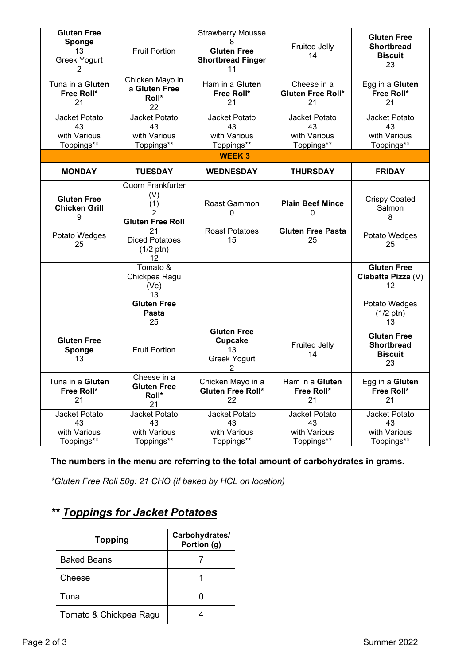| <b>Gluten Free</b><br>Sponge<br>13<br><b>Greek Yogurt</b><br>2         | <b>Fruit Portion</b>                                                                                                               | <b>Strawberry Mousse</b><br>8<br><b>Gluten Free</b><br><b>Shortbread Finger</b><br>11 | <b>Fruited Jelly</b><br>14                                            | <b>Gluten Free</b><br><b>Shortbread</b><br><b>Biscuit</b><br>23                              |
|------------------------------------------------------------------------|------------------------------------------------------------------------------------------------------------------------------------|---------------------------------------------------------------------------------------|-----------------------------------------------------------------------|----------------------------------------------------------------------------------------------|
| Tuna in a Gluten<br>Free Roll*<br>21                                   | Chicken Mayo in<br>a Gluten Free<br>Roll*<br>22                                                                                    | Ham in a Gluten<br>Free Roll*<br>21                                                   | Cheese in a<br><b>Gluten Free Roll*</b><br>21                         | Egg in a Gluten<br>Free Roll*<br>21                                                          |
| Jacket Potato<br>43<br>with Various<br>Toppings**                      | Jacket Potato<br>43<br>with Various<br>Toppings**                                                                                  | Jacket Potato<br>43<br>with Various<br>Toppings**                                     | Jacket Potato<br>43<br>with Various<br>Toppings**                     | Jacket Potato<br>43<br>with Various<br>Toppings**                                            |
|                                                                        |                                                                                                                                    | <b>WEEK3</b>                                                                          |                                                                       |                                                                                              |
| <b>MONDAY</b>                                                          | <b>TUESDAY</b>                                                                                                                     | <b>WEDNESDAY</b>                                                                      | <b>THURSDAY</b>                                                       | <b>FRIDAY</b>                                                                                |
| <b>Gluten Free</b><br><b>Chicken Grill</b><br>9<br>Potato Wedges<br>25 | <b>Quorn Frankfurter</b><br>(V)<br>(1)<br>2<br><b>Gluten Free Roll</b><br>21<br><b>Diced Potatoes</b><br>$(1/2 \text{ ptn})$<br>12 | Roast Gammon<br>0<br><b>Roast Potatoes</b><br>15                                      | <b>Plain Beef Mince</b><br>$\Omega$<br><b>Gluten Free Pasta</b><br>25 | <b>Crispy Coated</b><br>Salmon<br>8<br>Potato Wedges<br>25                                   |
|                                                                        | Tomato &<br>Chickpea Ragu<br>(Ve)<br>13<br><b>Gluten Free</b><br>Pasta<br>25                                                       |                                                                                       |                                                                       | <b>Gluten Free</b><br>Ciabatta Pizza (V)<br>12<br>Potato Wedges<br>$(1/2 \text{ ptn})$<br>13 |
| <b>Gluten Free</b><br>Sponge<br>13                                     | <b>Fruit Portion</b>                                                                                                               | <b>Gluten Free</b><br><b>Cupcake</b><br>13<br>Greek Yogurt<br>2                       | <b>Fruited Jelly</b><br>14                                            | <b>Gluten Free</b><br><b>Shortbread</b><br><b>Biscuit</b><br>23                              |
| Tuna in a Gluten<br>Free Roll*<br>21                                   | Cheese in a<br><b>Gluten Free</b><br>Roll*<br>21                                                                                   | Chicken Mayo in a<br>Gluten Free Roll*<br>22                                          | Ham in a Gluten<br>Free Roll*<br>21                                   | Egg in a Gluten<br>Free Roll*<br>21                                                          |
| Jacket Potato<br>43<br>with Various<br>Toppings**                      | Jacket Potato<br>43<br>with Various<br>Toppings**                                                                                  | Jacket Potato<br>43<br>with Various<br>Toppings**                                     | Jacket Potato<br>43<br>with Various<br>Toppings**                     | Jacket Potato<br>43<br>with Various<br>Toppings**                                            |

## **The numbers in the menu are referring to the total amount of carbohydrates in grams.**

*\*Gluten Free Roll 50g: 21 CHO (if baked by HCL on location)*

# *\*\* Toppings for Jacket Potatoes*

| <b>Topping</b>         | Carbohydrates/<br>Portion (g) |  |
|------------------------|-------------------------------|--|
| <b>Baked Beans</b>     |                               |  |
| Cheese                 |                               |  |
| Tuna                   |                               |  |
| Tomato & Chickpea Ragu |                               |  |